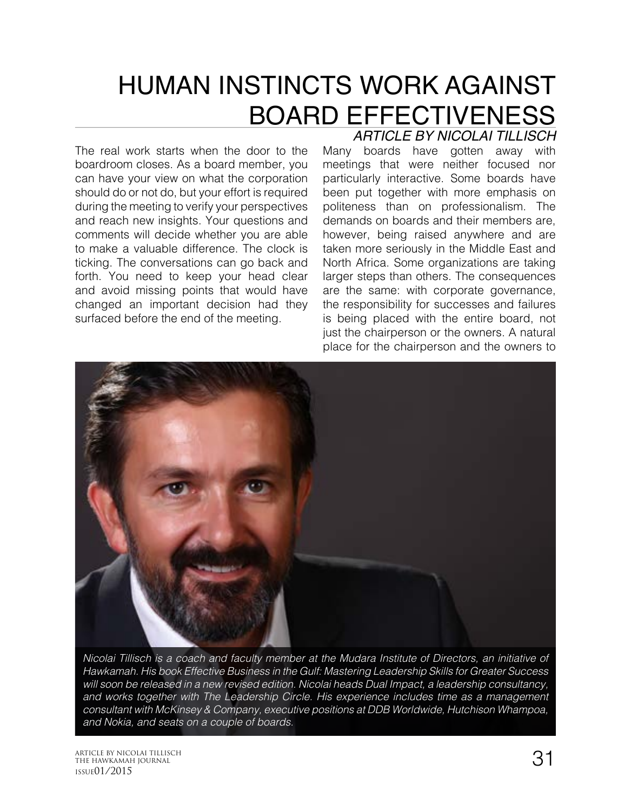# HUMAN INSTINCTS WORK AGAINST BOARD EFFECTIVENESS

The real work starts when the door to the boardroom closes. As a board member, you can have your view on what the corporation should do or not do, but your effort is required during the meeting to verify your perspectives and reach new insights. Your questions and comments will decide whether you are able to make a valuable difference. The clock is ticking. The conversations can go back and forth. You need to keep your head clear and avoid missing points that would have changed an important decision had they surfaced before the end of the meeting.

# Many boards have gotten away with *ARTICLE BY NICOLAI TILLISCH*

meetings that were neither focused nor particularly interactive. Some boards have been put together with more emphasis on politeness than on professionalism. The demands on boards and their members are, however, being raised anywhere and are taken more seriously in the Middle East and North Africa. Some organizations are taking larger steps than others. The consequences are the same: with corporate governance, the responsibility for successes and failures is being placed with the entire board, not just the chairperson or the owners. A natural place for the chairperson and the owners to



*Nicolai Tillisch is a coach and faculty member at the Mudara Institute of Directors, an initiative of Hawkamah. His book Effective Business in the Gulf: Mastering Leadership Skills for Greater Success will soon be released in a new revised edition. Nicolai heads Dual Impact, a leadership consultancy, and works together with The Leadership Circle. His experience includes time as a management consultant with McKinsey & Company, executive positions at DDB Worldwide, Hutchison Whampoa, and Nokia, and seats on a couple of boards.*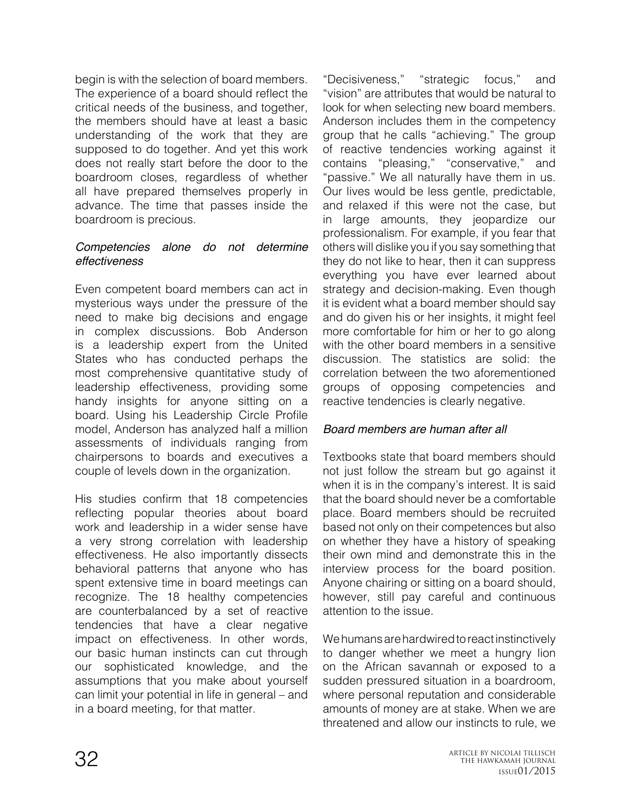begin is with the selection of board members. The experience of a board should reflect the critical needs of the business, and together, the members should have at least a basic understanding of the work that they are supposed to do together. And yet this work does not really start before the door to the boardroom closes, regardless of whether all have prepared themselves properly in advance. The time that passes inside the boardroom is precious.

## *Competencies alone do not determine effectiveness*

Even competent board members can act in mysterious ways under the pressure of the need to make big decisions and engage in complex discussions. Bob Anderson is a leadership expert from the United States who has conducted perhaps the most comprehensive quantitative study of leadership effectiveness, providing some handy insights for anyone sitting on a board. Using his Leadership Circle Profile model, Anderson has analyzed half a million assessments of individuals ranging from chairpersons to boards and executives a couple of levels down in the organization.

His studies confirm that 18 competencies reflecting popular theories about board work and leadership in a wider sense have a very strong correlation with leadership effectiveness. He also importantly dissects behavioral patterns that anyone who has spent extensive time in board meetings can recognize. The 18 healthy competencies are counterbalanced by a set of reactive tendencies that have a clear negative impact on effectiveness. In other words, our basic human instincts can cut through our sophisticated knowledge, and the assumptions that you make about yourself can limit your potential in life in general – and in a board meeting, for that matter.

"Decisiveness," "strategic focus," and "vision" are attributes that would be natural to look for when selecting new board members. Anderson includes them in the competency group that he calls "achieving." The group of reactive tendencies working against it contains "pleasing," "conservative," and "passive." We all naturally have them in us. Our lives would be less gentle, predictable, and relaxed if this were not the case, but in large amounts, they jeopardize our professionalism. For example, if you fear that others will dislike you if you say something that they do not like to hear, then it can suppress everything you have ever learned about strategy and decision-making. Even though it is evident what a board member should say and do given his or her insights, it might feel more comfortable for him or her to go along with the other board members in a sensitive discussion. The statistics are solid: the correlation between the two aforementioned groups of opposing competencies and reactive tendencies is clearly negative.

# *Board members are human after all*

Textbooks state that board members should not just follow the stream but go against it when it is in the company's interest. It is said that the board should never be a comfortable place. Board members should be recruited based not only on their competences but also on whether they have a history of speaking their own mind and demonstrate this in the interview process for the board position. Anyone chairing or sitting on a board should, however, still pay careful and continuous attention to the issue.

We humans are hardwired to react instinctively to danger whether we meet a hungry lion on the African savannah or exposed to a sudden pressured situation in a boardroom, where personal reputation and considerable amounts of money are at stake. When we are threatened and allow our instincts to rule, we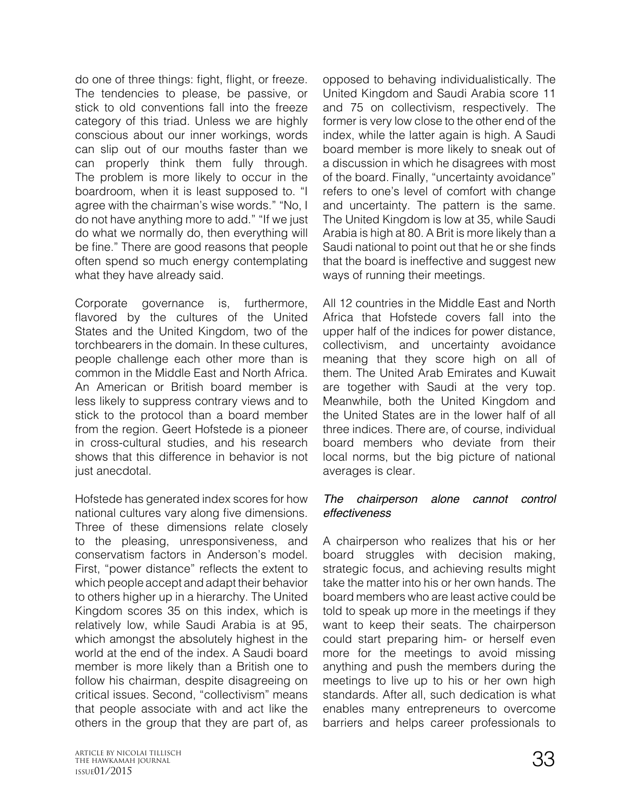do one of three things: fight, flight, or freeze. The tendencies to please, be passive, or stick to old conventions fall into the freeze category of this triad. Unless we are highly conscious about our inner workings, words can slip out of our mouths faster than we can properly think them fully through. The problem is more likely to occur in the boardroom, when it is least supposed to. "I agree with the chairman's wise words." "No, I do not have anything more to add." "If we just do what we normally do, then everything will be fine." There are good reasons that people often spend so much energy contemplating what they have already said.

Corporate governance is, furthermore, flavored by the cultures of the United States and the United Kingdom, two of the torchbearers in the domain. In these cultures, people challenge each other more than is common in the Middle East and North Africa. An American or British board member is less likely to suppress contrary views and to stick to the protocol than a board member from the region. Geert Hofstede is a pioneer in cross-cultural studies, and his research shows that this difference in behavior is not just anecdotal.

Hofstede has generated index scores for how national cultures vary along five dimensions. Three of these dimensions relate closely to the pleasing, unresponsiveness, and conservatism factors in Anderson's model. First, "power distance" reflects the extent to which people accept and adapt their behavior to others higher up in a hierarchy. The United Kingdom scores 35 on this index, which is relatively low, while Saudi Arabia is at 95, which amongst the absolutely highest in the world at the end of the index. A Saudi board member is more likely than a British one to follow his chairman, despite disagreeing on critical issues. Second, "collectivism" means that people associate with and act like the others in the group that they are part of, as

opposed to behaving individualistically. The United Kingdom and Saudi Arabia score 11 and 75 on collectivism, respectively. The former is very low close to the other end of the index, while the latter again is high. A Saudi board member is more likely to sneak out of a discussion in which he disagrees with most of the board. Finally, "uncertainty avoidance" refers to one's level of comfort with change and uncertainty. The pattern is the same. The United Kingdom is low at 35, while Saudi Arabia is high at 80. A Brit is more likely than a Saudi national to point out that he or she finds that the board is ineffective and suggest new ways of running their meetings.

All 12 countries in the Middle East and North Africa that Hofstede covers fall into the upper half of the indices for power distance, collectivism, and uncertainty avoidance meaning that they score high on all of them. The United Arab Emirates and Kuwait are together with Saudi at the very top. Meanwhile, both the United Kingdom and the United States are in the lower half of all three indices. There are, of course, individual board members who deviate from their local norms, but the big picture of national averages is clear.

## *The chairperson alone cannot control effectiveness*

A chairperson who realizes that his or her board struggles with decision making, strategic focus, and achieving results might take the matter into his or her own hands. The board members who are least active could be told to speak up more in the meetings if they want to keep their seats. The chairperson could start preparing him- or herself even more for the meetings to avoid missing anything and push the members during the meetings to live up to his or her own high standards. After all, such dedication is what enables many entrepreneurs to overcome barriers and helps career professionals to